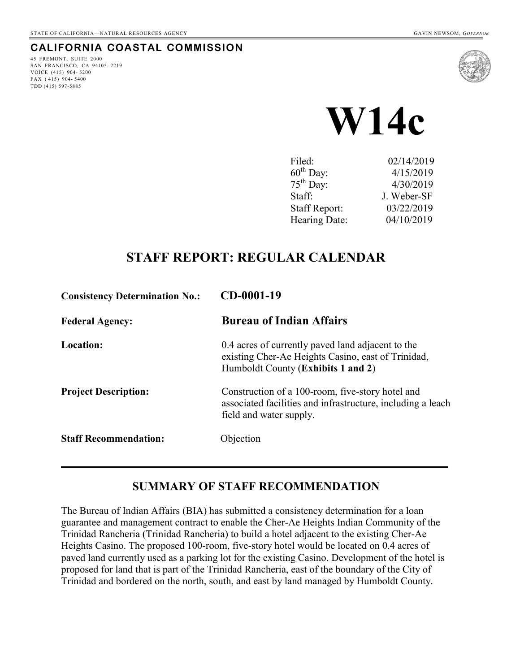## **CALIFORNIA COASTAL COMMISSION**

45 FREMONT, SUITE 2000 SAN FRANCISCO, CA 94105- 2219 VOICE (415) 904- 5200 FAX  $(415)$  904-5400 TDD (415) 597-5885





| Filed:                | 02/14/2019  |
|-----------------------|-------------|
| $60^{\text{th}}$ Day: | 4/15/2019   |
| $75^{\text{th}}$ Day: | 4/30/2019   |
| Staff:                | J. Weber-SF |
| <b>Staff Report:</b>  | 03/22/2019  |
| Hearing Date:         | 04/10/2019  |

## **STAFF REPORT: REGULAR CALENDAR**

| <b>Consistency Determination No.:</b> | $CD-0001-19$                                                                                                                                  |
|---------------------------------------|-----------------------------------------------------------------------------------------------------------------------------------------------|
| <b>Federal Agency:</b>                | <b>Bureau of Indian Affairs</b>                                                                                                               |
| Location:                             | 0.4 acres of currently paved land adjacent to the<br>existing Cher-Ae Heights Casino, east of Trinidad,<br>Humboldt County (Exhibits 1 and 2) |
| <b>Project Description:</b>           | Construction of a 100-room, five-story hotel and<br>associated facilities and infrastructure, including a leach<br>field and water supply.    |
| <b>Staff Recommendation:</b>          | Objection                                                                                                                                     |

## **SUMMARY OF STAFF RECOMMENDATION**

 $\mathcal{L}_\mathcal{L} = \mathcal{L}_\mathcal{L} = \mathcal{L}_\mathcal{L} = \mathcal{L}_\mathcal{L} = \mathcal{L}_\mathcal{L} = \mathcal{L}_\mathcal{L} = \mathcal{L}_\mathcal{L} = \mathcal{L}_\mathcal{L} = \mathcal{L}_\mathcal{L} = \mathcal{L}_\mathcal{L} = \mathcal{L}_\mathcal{L} = \mathcal{L}_\mathcal{L} = \mathcal{L}_\mathcal{L} = \mathcal{L}_\mathcal{L} = \mathcal{L}_\mathcal{L} = \mathcal{L}_\mathcal{L} = \mathcal{L}_\mathcal{L}$ 

The Bureau of Indian Affairs (BIA) has submitted a consistency determination for a loan guarantee and management contract to enable the Cher-Ae Heights Indian Community of the Trinidad Rancheria (Trinidad Rancheria) to build a hotel adjacent to the existing Cher-Ae Heights Casino. The proposed 100-room, five-story hotel would be located on 0.4 acres of paved land currently used as a parking lot for the existing Casino. Development of the hotel is proposed for land that is part of the Trinidad Rancheria, east of the boundary of the City of Trinidad and bordered on the north, south, and east by land managed by Humboldt County.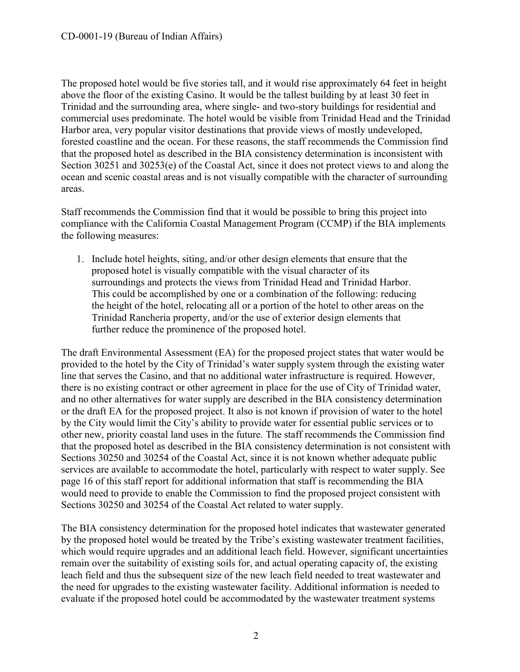The proposed hotel would be five stories tall, and it would rise approximately 64 feet in height above the floor of the existing Casino. It would be the tallest building by at least 30 feet in Trinidad and the surrounding area, where single- and two-story buildings for residential and commercial uses predominate. The hotel would be visible from Trinidad Head and the Trinidad Harbor area, very popular visitor destinations that provide views of mostly undeveloped, forested coastline and the ocean. For these reasons, the staff recommends the Commission find that the proposed hotel as described in the BIA consistency determination is inconsistent with Section 30251 and 30253(e) of the Coastal Act, since it does not protect views to and along the ocean and scenic coastal areas and is not visually compatible with the character of surrounding areas.

Staff recommends the Commission find that it would be possible to bring this project into compliance with the California Coastal Management Program (CCMP) if the BIA implements the following measures:

1. Include hotel heights, siting, and/or other design elements that ensure that the proposed hotel is visually compatible with the visual character of its surroundings and protects the views from Trinidad Head and Trinidad Harbor. This could be accomplished by one or a combination of the following: reducing the height of the hotel, relocating all or a portion of the hotel to other areas on the Trinidad Rancheria property, and/or the use of exterior design elements that further reduce the prominence of the proposed hotel.

The draft Environmental Assessment (EA) for the proposed project states that water would be provided to the hotel by the City of Trinidad's water supply system through the existing water line that serves the Casino, and that no additional water infrastructure is required. However, there is no existing contract or other agreement in place for the use of City of Trinidad water, and no other alternatives for water supply are described in the BIA consistency determination or the draft EA for the proposed project. It also is not known if provision of water to the hotel by the City would limit the City's ability to provide water for essential public services or to other new, priority coastal land uses in the future. The staff recommends the Commission find that the proposed hotel as described in the BIA consistency determination is not consistent with Sections 30250 and 30254 of the Coastal Act, since it is not known whether adequate public services are available to accommodate the hotel, particularly with respect to water supply. See page 16 of this staff report for additional information that staff is recommending the BIA would need to provide to enable the Commission to find the proposed project consistent with Sections 30250 and 30254 of the Coastal Act related to water supply.

The BIA consistency determination for the proposed hotel indicates that wastewater generated by the proposed hotel would be treated by the Tribe's existing wastewater treatment facilities, which would require upgrades and an additional leach field. However, significant uncertainties remain over the suitability of existing soils for, and actual operating capacity of, the existing leach field and thus the subsequent size of the new leach field needed to treat wastewater and the need for upgrades to the existing wastewater facility. Additional information is needed to evaluate if the proposed hotel could be accommodated by the wastewater treatment systems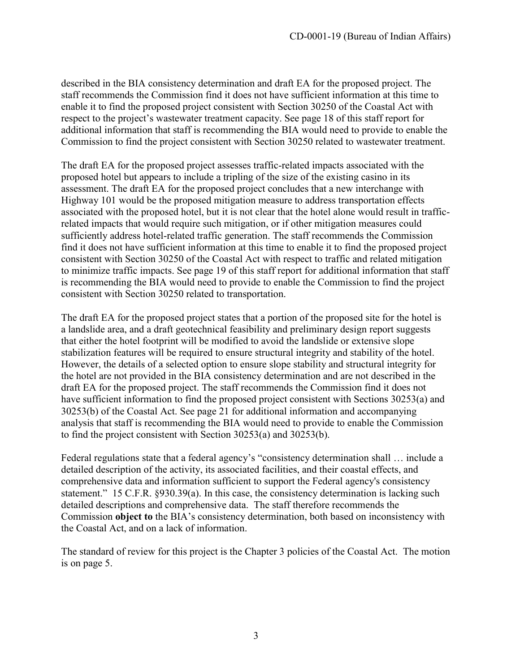described in the BIA consistency determination and draft EA for the proposed project. The staff recommends the Commission find it does not have sufficient information at this time to enable it to find the proposed project consistent with Section 30250 of the Coastal Act with respect to the project's wastewater treatment capacity. See page 18 of this staff report for additional information that staff is recommending the BIA would need to provide to enable the Commission to find the project consistent with Section 30250 related to wastewater treatment.

The draft EA for the proposed project assesses traffic-related impacts associated with the proposed hotel but appears to include a tripling of the size of the existing casino in its assessment. The draft EA for the proposed project concludes that a new interchange with Highway 101 would be the proposed mitigation measure to address transportation effects associated with the proposed hotel, but it is not clear that the hotel alone would result in trafficrelated impacts that would require such mitigation, or if other mitigation measures could sufficiently address hotel-related traffic generation. The staff recommends the Commission find it does not have sufficient information at this time to enable it to find the proposed project consistent with Section 30250 of the Coastal Act with respect to traffic and related mitigation to minimize traffic impacts. See page 19 of this staff report for additional information that staff is recommending the BIA would need to provide to enable the Commission to find the project consistent with Section 30250 related to transportation.

The draft EA for the proposed project states that a portion of the proposed site for the hotel is a landslide area, and a draft geotechnical feasibility and preliminary design report suggests that either the hotel footprint will be modified to avoid the landslide or extensive slope stabilization features will be required to ensure structural integrity and stability of the hotel. However, the details of a selected option to ensure slope stability and structural integrity for the hotel are not provided in the BIA consistency determination and are not described in the draft EA for the proposed project. The staff recommends the Commission find it does not have sufficient information to find the proposed project consistent with Sections 30253(a) and 30253(b) of the Coastal Act. See page 21 for additional information and accompanying analysis that staff is recommending the BIA would need to provide to enable the Commission to find the project consistent with Section 30253(a) and 30253(b).

Federal regulations state that a federal agency's "consistency determination shall … include a detailed description of the activity, its associated facilities, and their coastal effects, and comprehensive data and information sufficient to support the Federal agency's consistency statement." 15 C.F.R. §930.39(a). In this case, the consistency determination is lacking such detailed descriptions and comprehensive data. The staff therefore recommends the Commission **object to** the BIA's consistency determination, both based on inconsistency with the Coastal Act, and on a lack of information.

The standard of review for this project is the Chapter 3 policies of the Coastal Act. The motion is on page 5.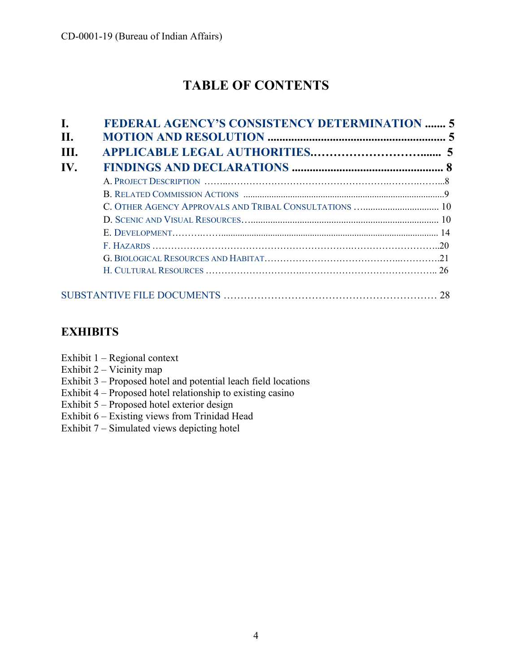# **TABLE OF CONTENTS**

| C. OTHER AGENCY APPROVALS AND TRIBAL CONSULTATIONS  10 |
|--------------------------------------------------------|
|                                                        |
|                                                        |
|                                                        |
|                                                        |
|                                                        |

## **EXHIBITS**

- Exhibit 1 Regional context
- Exhibit  $2 \text{Vicinity map}$
- Exhibit 3 Proposed hotel and potential leach field locations
- Exhibit 4 Proposed hotel relationship to existing casino
- Exhibit 5 Proposed hotel exterior design
- Exhibit 6 Existing views from Trinidad Head
- Exhibit 7 Simulated views depicting hotel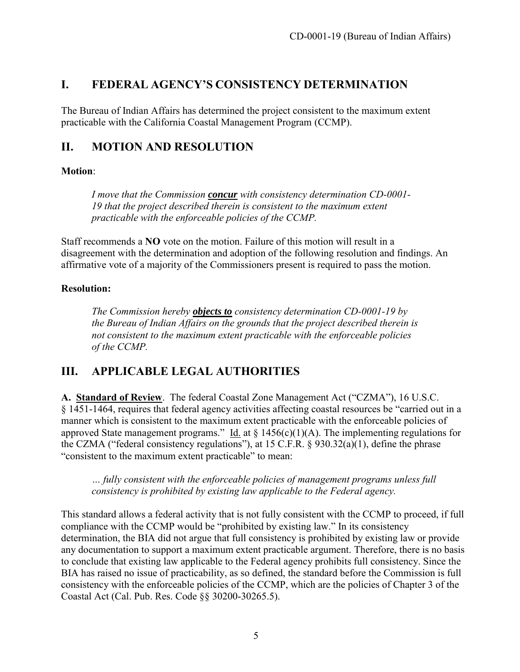## <span id="page-4-0"></span>**I. FEDERAL AGENCY'S CONSISTENCY DETERMINATION**

The Bureau of Indian Affairs has determined the project consistent to the maximum extent practicable with the California Coastal Management Program (CCMP).

## <span id="page-4-1"></span>**II. MOTION AND RESOLUTION**

#### **Motion**:

*I move that the Commission concur with consistency determination CD-0001- 19 that the project described therein is consistent to the maximum extent practicable with the enforceable policies of the CCMP.* 

Staff recommends a **NO** vote on the motion. Failure of this motion will result in a disagreement with the determination and adoption of the following resolution and findings. An affirmative vote of a majority of the Commissioners present is required to pass the motion.

## **Resolution:**

*The Commission hereby objects to consistency determination CD-0001-19 by the Bureau of Indian Affairs on the grounds that the project described therein is not consistent to the maximum extent practicable with the enforceable policies of the CCMP.*

## <span id="page-4-2"></span>**III. APPLICABLE LEGAL AUTHORITIES**

**A. Standard of Review**. The federal Coastal Zone Management Act ("CZMA"), 16 U.S.C. § 1451-1464, requires that federal agency activities affecting coastal resources be "carried out in a manner which is consistent to the maximum extent practicable with the enforceable policies of approved State management programs." Id. at  $\S$  1456(c)(1)(A). The implementing regulations for the CZMA ("federal consistency regulations"), at 15 C.F.R.  $\S$  930.32(a)(1), define the phrase "consistent to the maximum extent practicable" to mean:

*… fully consistent with the enforceable policies of management programs unless full consistency is prohibited by existing law applicable to the Federal agency.* 

This standard allows a federal activity that is not fully consistent with the CCMP to proceed, if full compliance with the CCMP would be "prohibited by existing law." In its consistency determination, the BIA did not argue that full consistency is prohibited by existing law or provide any documentation to support a maximum extent practicable argument. Therefore, there is no basis to conclude that existing law applicable to the Federal agency prohibits full consistency. Since the BIA has raised no issue of practicability, as so defined, the standard before the Commission is full consistency with the enforceable policies of the CCMP, which are the policies of Chapter 3 of the Coastal Act (Cal. Pub. Res. Code §§ 30200-30265.5).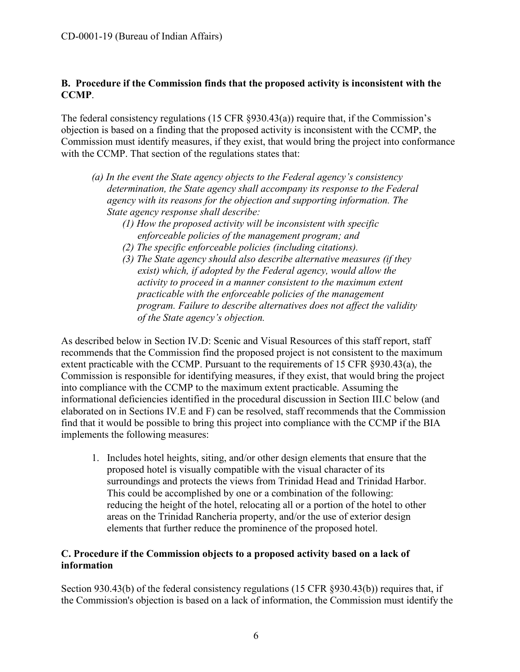#### **B. Procedure if the Commission finds that the proposed activity is inconsistent with the CCMP**.

The federal consistency regulations (15 CFR §930.43(a)) require that, if the Commission's objection is based on a finding that the proposed activity is inconsistent with the CCMP, the Commission must identify measures, if they exist, that would bring the project into conformance with the CCMP. That section of the regulations states that:

- *(a) In the event the State agency objects to the Federal agency's consistency determination, the State agency shall accompany its response to the Federal agency with its reasons for the objection and supporting information. The State agency response shall describe:* 
	- *(1) How the proposed activity will be inconsistent with specific enforceable policies of the management program; and*
	- *(2) The specific enforceable policies (including citations).*
	- *(3) The State agency should also describe alternative measures (if they exist) which, if adopted by the Federal agency, would allow the activity to proceed in a manner consistent to the maximum extent practicable with the enforceable policies of the management program. Failure to describe alternatives does not affect the validity of the State agency's objection.*

As described below in Section IV.D: Scenic and Visual Resources of this staff report, staff recommends that the Commission find the proposed project is not consistent to the maximum extent practicable with the CCMP. Pursuant to the requirements of 15 CFR §930.43(a), the Commission is responsible for identifying measures, if they exist, that would bring the project into compliance with the CCMP to the maximum extent practicable. Assuming the informational deficiencies identified in the procedural discussion in Section III.C below (and elaborated on in Sections IV.E and F) can be resolved, staff recommends that the Commission find that it would be possible to bring this project into compliance with the CCMP if the BIA implements the following measures:

1. Includes hotel heights, siting, and/or other design elements that ensure that the proposed hotel is visually compatible with the visual character of its surroundings and protects the views from Trinidad Head and Trinidad Harbor. This could be accomplished by one or a combination of the following: reducing the height of the hotel, relocating all or a portion of the hotel to other areas on the Trinidad Rancheria property, and/or the use of exterior design elements that further reduce the prominence of the proposed hotel.

#### **C. Procedure if the Commission objects to a proposed activity based on a lack of information**

Section 930.43(b) of the federal consistency regulations (15 CFR §930.43(b)) requires that, if the Commission's objection is based on a lack of information, the Commission must identify the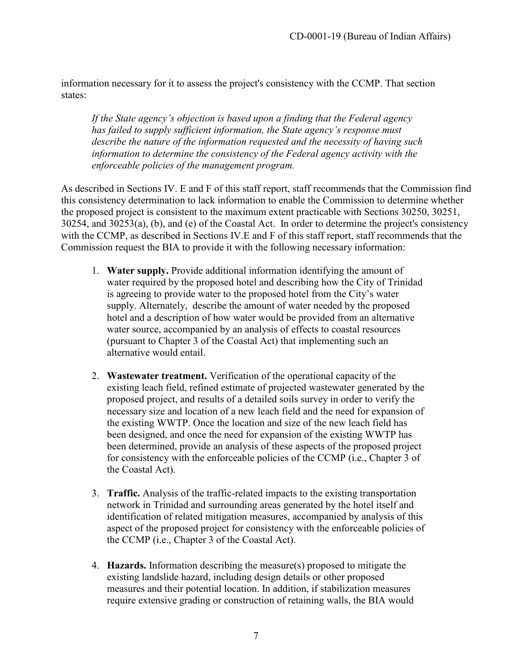information necessary for it to assess the project's consistency with the CCMP. That section states:

*If the State agency's objection is based upon a finding that the Federal agency has failed to supply sufficient information, the State agency's response must describe the nature of the information requested and the necessity of having such information to determine the consistency of the Federal agency activity with the enforceable policies of the management program.* 

As described in Sections IV. E and F of this staff report, staff recommends that the Commission find this consistency determination to lack information to enable the Commission to determine whether the proposed project is consistent to the maximum extent practicable with Sections 30250, 30251, 30254, and 30253(a), (b), and (e) of the Coastal Act. In order to determine the project's consistency with the CCMP, as described in Sections IV.E and F of this staff report, staff recommends that the Commission request the BIA to provide it with the following necessary information:

- 1. **Water supply.** Provide additional information identifying the amount of water required by the proposed hotel and describing how the City of Trinidad is agreeing to provide water to the proposed hotel from the City's water supply. Alternately, describe the amount of water needed by the proposed hotel and a description of how water would be provided from an alternative water source, accompanied by an analysis of effects to coastal resources (pursuant to Chapter 3 of the Coastal Act) that implementing such an alternative would entail.
- 2. **Wastewater treatment.** Verification of the operational capacity of the existing leach field, refined estimate of projected wastewater generated by the proposed project, and results of a detailed soils survey in order to verify the necessary size and location of a new leach field and the need for expansion of the existing WWTP. Once the location and size of the new leach field has been designed, and once the need for expansion of the existing WWTP has been determined, provide an analysis of these aspects of the proposed project for consistency with the enforceable policies of the CCMP (i.e., Chapter 3 of the Coastal Act).
- 3. **Traffic.** Analysis of the traffic-related impacts to the existing transportation network in Trinidad and surrounding areas generated by the hotel itself and identification of related mitigation measures, accompanied by analysis of this aspect of the proposed project for consistency with the enforceable policies of the CCMP (i.e., Chapter 3 of the Coastal Act).
- 4. **Hazards.** Information describing the measure(s) proposed to mitigate the existing landslide hazard, including design details or other proposed measures and their potential location. In addition, if stabilization measures require extensive grading or construction of retaining walls, the BIA would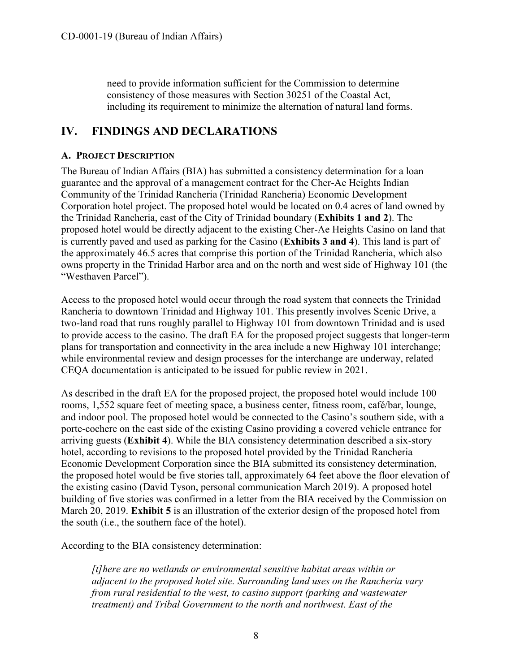need to provide information sufficient for the Commission to determine consistency of those measures with Section 30251 of the Coastal Act, including its requirement to minimize the alternation of natural land forms.

## <span id="page-7-0"></span>**IV. FINDINGS AND DECLARATIONS**

#### <span id="page-7-1"></span>**A. PROJECT DESCRIPTION**

The Bureau of Indian Affairs (BIA) has submitted a consistency determination for a loan guarantee and the approval of a management contract for the Cher-Ae Heights Indian Community of the Trinidad Rancheria (Trinidad Rancheria) Economic Development Corporation hotel project. The proposed hotel would be located on 0.4 acres of land owned by the Trinidad Rancheria, east of the City of Trinidad boundary (**Exhibits 1 and 2**). The proposed hotel would be directly adjacent to the existing Cher-Ae Heights Casino on land that is currently paved and used as parking for the Casino (**Exhibits 3 and 4**). This land is part of the approximately 46.5 acres that comprise this portion of the Trinidad Rancheria, which also owns property in the Trinidad Harbor area and on the north and west side of Highway 101 (the "Westhaven Parcel").

Access to the proposed hotel would occur through the road system that connects the Trinidad Rancheria to downtown Trinidad and Highway 101. This presently involves Scenic Drive, a two-land road that runs roughly parallel to Highway 101 from downtown Trinidad and is used to provide access to the casino. The draft EA for the proposed project suggests that longer-term plans for transportation and connectivity in the area include a new Highway 101 interchange; while environmental review and design processes for the interchange are underway, related CEQA documentation is anticipated to be issued for public review in 2021.

As described in the draft EA for the proposed project, the proposed hotel would include 100 rooms, 1,552 square feet of meeting space, a business center, fitness room, café/bar, lounge, and indoor pool. The proposed hotel would be connected to the Casino's southern side, with a porte-cochere on the east side of the existing Casino providing a covered vehicle entrance for arriving guests (**Exhibit 4**). While the BIA consistency determination described a six-story hotel, according to revisions to the proposed hotel provided by the Trinidad Rancheria Economic Development Corporation since the BIA submitted its consistency determination, the proposed hotel would be five stories tall, approximately 64 feet above the floor elevation of the existing casino (David Tyson, personal communication March 2019). A proposed hotel building of five stories was confirmed in a letter from the BIA received by the Commission on March 20, 2019. **Exhibit 5** is an illustration of the exterior design of the proposed hotel from the south (i.e., the southern face of the hotel).

According to the BIA consistency determination:

*[t]here are no wetlands or environmental sensitive habitat areas within or adjacent to the proposed hotel site. Surrounding land uses on the Rancheria vary from rural residential to the west, to casino support (parking and wastewater treatment) and Tribal Government to the north and northwest. East of the*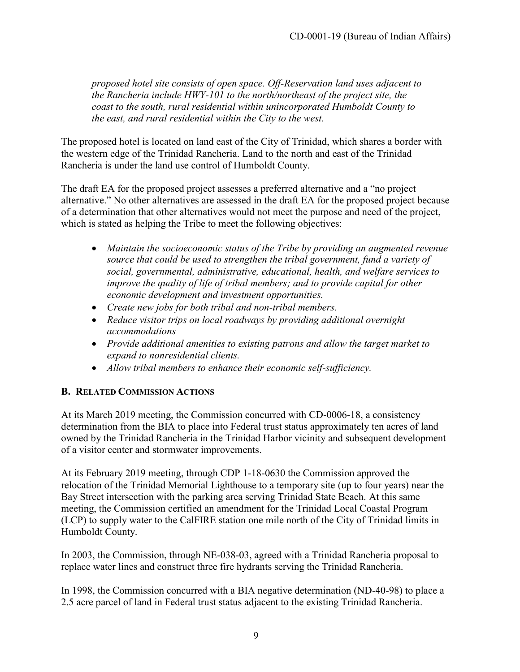*proposed hotel site consists of open space. Off-Reservation land uses adjacent to the Rancheria include HWY-101 to the north/northeast of the project site, the coast to the south, rural residential within unincorporated Humboldt County to the east, and rural residential within the City to the west.* 

The proposed hotel is located on land east of the City of Trinidad, which shares a border with the western edge of the Trinidad Rancheria. Land to the north and east of the Trinidad Rancheria is under the land use control of Humboldt County.

The draft EA for the proposed project assesses a preferred alternative and a "no project alternative." No other alternatives are assessed in the draft EA for the proposed project because of a determination that other alternatives would not meet the purpose and need of the project, which is stated as helping the Tribe to meet the following objectives:

- *Maintain the socioeconomic status of the Tribe by providing an augmented revenue source that could be used to strengthen the tribal government, fund a variety of social, governmental, administrative, educational, health, and welfare services to improve the quality of life of tribal members; and to provide capital for other economic development and investment opportunities.*
- *Create new jobs for both tribal and non-tribal members.*
- *Reduce visitor trips on local roadways by providing additional overnight accommodations*
- *Provide additional amenities to existing patrons and allow the target market to expand to nonresidential clients.*
- *Allow tribal members to enhance their economic self-sufficiency.*

## <span id="page-8-0"></span>**B. RELATED COMMISSION ACTIONS**

At its March 2019 meeting, the Commission concurred with CD-0006-18, a consistency determination from the BIA to place into Federal trust status approximately ten acres of land owned by the Trinidad Rancheria in the Trinidad Harbor vicinity and subsequent development of a visitor center and stormwater improvements.

At its February 2019 meeting, through CDP 1-18-0630 the Commission approved the relocation of the Trinidad Memorial Lighthouse to a temporary site (up to four years) near the Bay Street intersection with the parking area serving Trinidad State Beach. At this same meeting, the Commission certified an amendment for the Trinidad Local Coastal Program (LCP) to supply water to the CalFIRE station one mile north of the City of Trinidad limits in Humboldt County.

In 2003, the Commission, through NE-038-03, agreed with a Trinidad Rancheria proposal to replace water lines and construct three fire hydrants serving the Trinidad Rancheria.

In 1998, the Commission concurred with a BIA negative determination (ND-40-98) to place a 2.5 acre parcel of land in Federal trust status adjacent to the existing Trinidad Rancheria.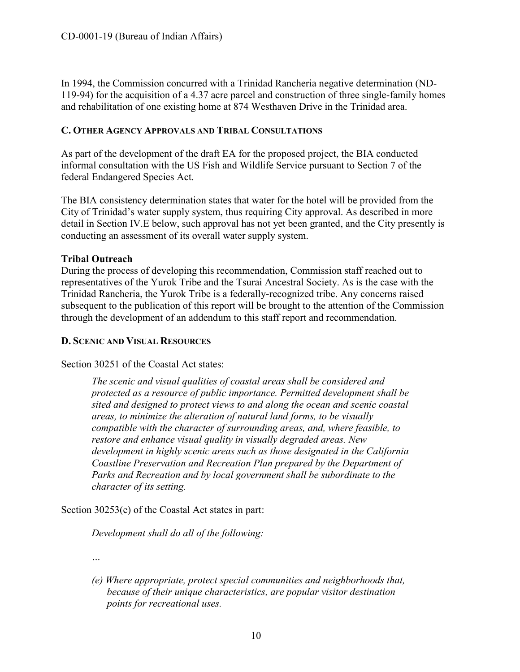In 1994, the Commission concurred with a Trinidad Rancheria negative determination (ND-119-94) for the acquisition of a 4.37 acre parcel and construction of three single-family homes and rehabilitation of one existing home at 874 Westhaven Drive in the Trinidad area.

#### <span id="page-9-0"></span>**C. OTHER AGENCY APPROVALS AND TRIBAL CONSULTATIONS**

As part of the development of the draft EA for the proposed project, the BIA conducted informal consultation with the US Fish and Wildlife Service pursuant to Section 7 of the federal Endangered Species Act.

The BIA consistency determination states that water for the hotel will be provided from the City of Trinidad's water supply system, thus requiring City approval. As described in more detail in Section IV.E below, such approval has not yet been granted, and the City presently is conducting an assessment of its overall water supply system.

#### **Tribal Outreach**

During the process of developing this recommendation, Commission staff reached out to representatives of the Yurok Tribe and the Tsurai Ancestral Society. As is the case with the Trinidad Rancheria, the Yurok Tribe is a federally-recognized tribe. Any concerns raised subsequent to the publication of this report will be brought to the attention of the Commission through the development of an addendum to this staff report and recommendation.

#### <span id="page-9-1"></span>**D. SCENIC AND VISUAL RESOURCES**

Section 30251 of the Coastal Act states:

*The scenic and visual qualities of coastal areas shall be considered and protected as a resource of public importance. Permitted development shall be sited and designed to protect views to and along the ocean and scenic coastal areas, to minimize the alteration of natural land forms, to be visually compatible with the character of surrounding areas, and, where feasible, to restore and enhance visual quality in visually degraded areas. New development in highly scenic areas such as those designated in the California Coastline Preservation and Recreation Plan prepared by the Department of Parks and Recreation and by local government shall be subordinate to the character of its setting.* 

Section 30253(e) of the Coastal Act states in part:

*Development shall do all of the following:* 

*…* 

*(e) Where appropriate, protect special communities and neighborhoods that, because of their unique characteristics, are popular visitor destination points for recreational uses.*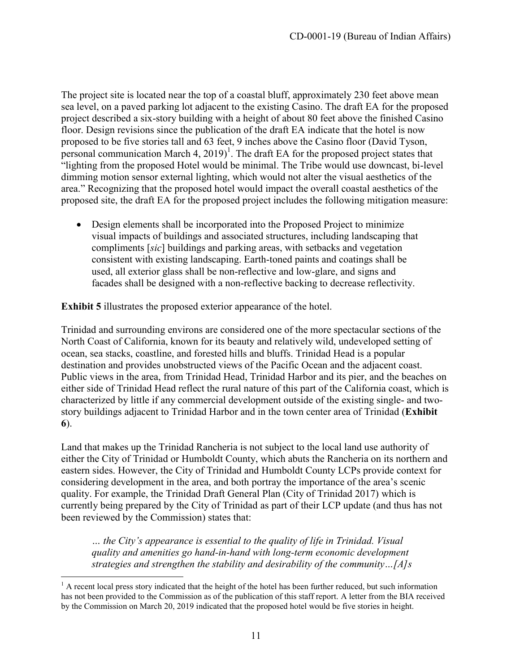The project site is located near the top of a coastal bluff, approximately 230 feet above mean sea level, on a paved parking lot adjacent to the existing Casino. The draft EA for the proposed project described a six-story building with a height of about 80 feet above the finished Casino floor. Design revisions since the publication of the draft EA indicate that the hotel is now proposed to be five stories tall and 63 feet, 9 inches above the Casino floor (David Tyson, personal communication March 4,  $2019$ <sup>1</sup>. The draft EA for the proposed project states that "lighting from the proposed Hotel would be minimal. The Tribe would use downcast, bi-level dimming motion sensor external lighting, which would not alter the visual aesthetics of the area." Recognizing that the proposed hotel would impact the overall coastal aesthetics of the proposed site, the draft EA for the proposed project includes the following mitigation measure:

 Design elements shall be incorporated into the Proposed Project to minimize visual impacts of buildings and associated structures, including landscaping that compliments [*sic*] buildings and parking areas, with setbacks and vegetation consistent with existing landscaping. Earth-toned paints and coatings shall be used, all exterior glass shall be non-reflective and low-glare, and signs and facades shall be designed with a non-reflective backing to decrease reflectivity.

**Exhibit 5** illustrates the proposed exterior appearance of the hotel.

Trinidad and surrounding environs are considered one of the more spectacular sections of the North Coast of California, known for its beauty and relatively wild, undeveloped setting of ocean, sea stacks, coastline, and forested hills and bluffs. Trinidad Head is a popular destination and provides unobstructed views of the Pacific Ocean and the adjacent coast. Public views in the area, from Trinidad Head, Trinidad Harbor and its pier, and the beaches on either side of Trinidad Head reflect the rural nature of this part of the California coast, which is characterized by little if any commercial development outside of the existing single- and twostory buildings adjacent to Trinidad Harbor and in the town center area of Trinidad (**Exhibit 6**).

Land that makes up the Trinidad Rancheria is not subject to the local land use authority of either the City of Trinidad or Humboldt County, which abuts the Rancheria on its northern and eastern sides. However, the City of Trinidad and Humboldt County LCPs provide context for considering development in the area, and both portray the importance of the area's scenic quality. For example, the Trinidad Draft General Plan (City of Trinidad 2017) which is currently being prepared by the City of Trinidad as part of their LCP update (and thus has not been reviewed by the Commission) states that:

*… the City's appearance is essential to the quality of life in Trinidad. Visual quality and amenities go hand-in-hand with long-term economic development strategies and strengthen the stability and desirability of the community…[A]s* 

 $\overline{a}$  $<sup>1</sup>$  A recent local press story indicated that the height of the hotel has been further reduced, but such information</sup> has not been provided to the Commission as of the publication of this staff report. A letter from the BIA received by the Commission on March 20, 2019 indicated that the proposed hotel would be five stories in height.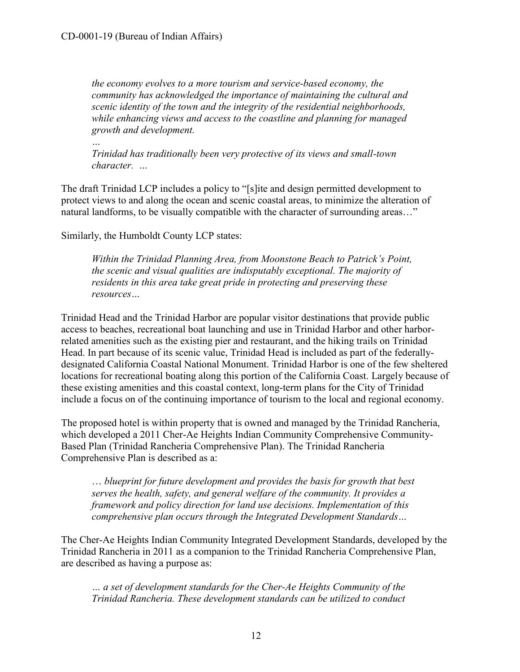*the economy evolves to a more tourism and service-based economy, the community has acknowledged the importance of maintaining the cultural and scenic identity of the town and the integrity of the residential neighborhoods, while enhancing views and access to the coastline and planning for managed growth and development.* 

*… Trinidad has traditionally been very protective of its views and small-town character. …* 

The draft Trinidad LCP includes a policy to "[s]ite and design permitted development to protect views to and along the ocean and scenic coastal areas, to minimize the alteration of natural landforms, to be visually compatible with the character of surrounding areas…"

Similarly, the Humboldt County LCP states:

*Within the Trinidad Planning Area, from Moonstone Beach to Patrick's Point, the scenic and visual qualities are indisputably exceptional. The majority of residents in this area take great pride in protecting and preserving these resources…* 

Trinidad Head and the Trinidad Harbor are popular visitor destinations that provide public access to beaches, recreational boat launching and use in Trinidad Harbor and other harborrelated amenities such as the existing pier and restaurant, and the hiking trails on Trinidad Head. In part because of its scenic value, Trinidad Head is included as part of the federallydesignated California Coastal National Monument. Trinidad Harbor is one of the few sheltered locations for recreational boating along this portion of the California Coast. Largely because of these existing amenities and this coastal context, long-term plans for the City of Trinidad include a focus on of the continuing importance of tourism to the local and regional economy.

The proposed hotel is within property that is owned and managed by the Trinidad Rancheria, which developed a 2011 Cher-Ae Heights Indian Community Comprehensive Community-Based Plan (Trinidad Rancheria Comprehensive Plan). The Trinidad Rancheria Comprehensive Plan is described as a:

… *blueprint for future development and provides the basis for growth that best serves the health, safety, and general welfare of the community. It provides a framework and policy direction for land use decisions. Implementation of this comprehensive plan occurs through the Integrated Development Standards…* 

The Cher-Ae Heights Indian Community Integrated Development Standards, developed by the Trinidad Rancheria in 2011 as a companion to the Trinidad Rancheria Comprehensive Plan, are described as having a purpose as:

*… a set of development standards for the Cher-Ae Heights Community of the Trinidad Rancheria. These development standards can be utilized to conduct*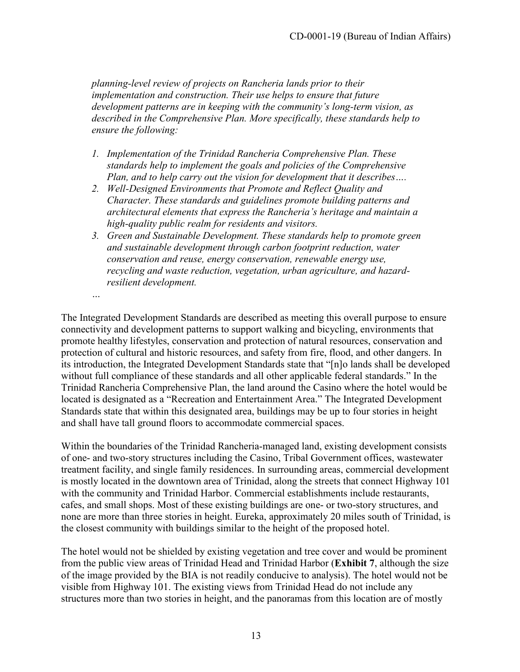*planning-level review of projects on Rancheria lands prior to their implementation and construction. Their use helps to ensure that future development patterns are in keeping with the community's long-term vision, as described in the Comprehensive Plan. More specifically, these standards help to ensure the following:* 

- *1. Implementation of the Trinidad Rancheria Comprehensive Plan. These standards help to implement the goals and policies of the Comprehensive Plan, and to help carry out the vision for development that it describes….*
- *2. Well-Designed Environments that Promote and Reflect Quality and Character. These standards and guidelines promote building patterns and architectural elements that express the Rancheria's heritage and maintain a high-quality public realm for residents and visitors.*
- *3. Green and Sustainable Development. These standards help to promote green and sustainable development through carbon footprint reduction, water conservation and reuse, energy conservation, renewable energy use, recycling and waste reduction, vegetation, urban agriculture, and hazardresilient development.*

*…* 

The Integrated Development Standards are described as meeting this overall purpose to ensure connectivity and development patterns to support walking and bicycling, environments that promote healthy lifestyles, conservation and protection of natural resources, conservation and protection of cultural and historic resources, and safety from fire, flood, and other dangers. In its introduction, the Integrated Development Standards state that "[n]o lands shall be developed without full compliance of these standards and all other applicable federal standards." In the Trinidad Rancheria Comprehensive Plan, the land around the Casino where the hotel would be located is designated as a "Recreation and Entertainment Area." The Integrated Development Standards state that within this designated area, buildings may be up to four stories in height and shall have tall ground floors to accommodate commercial spaces.

Within the boundaries of the Trinidad Rancheria-managed land, existing development consists of one- and two-story structures including the Casino, Tribal Government offices, wastewater treatment facility, and single family residences. In surrounding areas, commercial development is mostly located in the downtown area of Trinidad, along the streets that connect Highway 101 with the community and Trinidad Harbor. Commercial establishments include restaurants, cafes, and small shops. Most of these existing buildings are one- or two-story structures, and none are more than three stories in height. Eureka, approximately 20 miles south of Trinidad, is the closest community with buildings similar to the height of the proposed hotel.

The hotel would not be shielded by existing vegetation and tree cover and would be prominent from the public view areas of Trinidad Head and Trinidad Harbor (**Exhibit 7**, although the size of the image provided by the BIA is not readily conducive to analysis). The hotel would not be visible from Highway 101. The existing views from Trinidad Head do not include any structures more than two stories in height, and the panoramas from this location are of mostly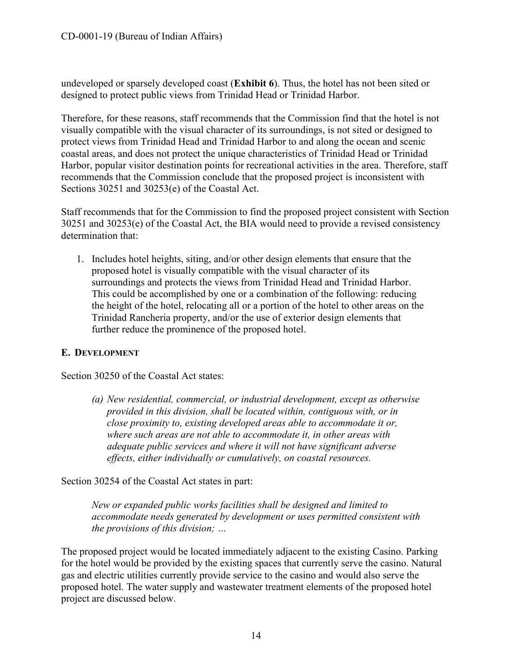undeveloped or sparsely developed coast (**Exhibit 6**). Thus, the hotel has not been sited or designed to protect public views from Trinidad Head or Trinidad Harbor.

Therefore, for these reasons, staff recommends that the Commission find that the hotel is not visually compatible with the visual character of its surroundings, is not sited or designed to protect views from Trinidad Head and Trinidad Harbor to and along the ocean and scenic coastal areas, and does not protect the unique characteristics of Trinidad Head or Trinidad Harbor, popular visitor destination points for recreational activities in the area. Therefore, staff recommends that the Commission conclude that the proposed project is inconsistent with Sections 30251 and 30253(e) of the Coastal Act.

Staff recommends that for the Commission to find the proposed project consistent with Section 30251 and 30253(e) of the Coastal Act, the BIA would need to provide a revised consistency determination that:

1. Includes hotel heights, siting, and/or other design elements that ensure that the proposed hotel is visually compatible with the visual character of its surroundings and protects the views from Trinidad Head and Trinidad Harbor. This could be accomplished by one or a combination of the following: reducing the height of the hotel, relocating all or a portion of the hotel to other areas on the Trinidad Rancheria property, and/or the use of exterior design elements that further reduce the prominence of the proposed hotel.

#### <span id="page-13-0"></span>**E. DEVELOPMENT**

Section 30250 of the Coastal Act states:

*(a) New residential, commercial, or industrial development, except as otherwise provided in this division, shall be located within, contiguous with, or in close proximity to, existing developed areas able to accommodate it or, where such areas are not able to accommodate it, in other areas with adequate public services and where it will not have significant adverse effects, either individually or cumulatively, on coastal resources.* 

Section 30254 of the Coastal Act states in part:

*New or expanded public works facilities shall be designed and limited to accommodate needs generated by development or uses permitted consistent with the provisions of this division; …*

The proposed project would be located immediately adjacent to the existing Casino. Parking for the hotel would be provided by the existing spaces that currently serve the casino. Natural gas and electric utilities currently provide service to the casino and would also serve the proposed hotel. The water supply and wastewater treatment elements of the proposed hotel project are discussed below.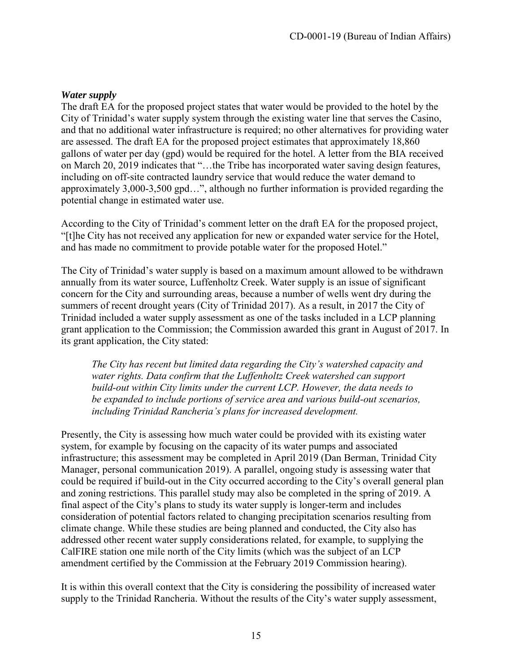#### *Water supply*

The draft EA for the proposed project states that water would be provided to the hotel by the City of Trinidad's water supply system through the existing water line that serves the Casino, and that no additional water infrastructure is required; no other alternatives for providing water are assessed. The draft EA for the proposed project estimates that approximately 18,860 gallons of water per day (gpd) would be required for the hotel. A letter from the BIA received on March 20, 2019 indicates that "…the Tribe has incorporated water saving design features, including on off-site contracted laundry service that would reduce the water demand to approximately 3,000-3,500 gpd…", although no further information is provided regarding the potential change in estimated water use.

According to the City of Trinidad's comment letter on the draft EA for the proposed project, "[t]he City has not received any application for new or expanded water service for the Hotel, and has made no commitment to provide potable water for the proposed Hotel."

The City of Trinidad's water supply is based on a maximum amount allowed to be withdrawn annually from its water source, Luffenholtz Creek. Water supply is an issue of significant concern for the City and surrounding areas, because a number of wells went dry during the summers of recent drought years (City of Trinidad 2017). As a result, in 2017 the City of Trinidad included a water supply assessment as one of the tasks included in a LCP planning grant application to the Commission; the Commission awarded this grant in August of 2017. In its grant application, the City stated:

*The City has recent but limited data regarding the City's watershed capacity and water rights. Data confirm that the Luffenholtz Creek watershed can support build-out within City limits under the current LCP. However, the data needs to be expanded to include portions of service area and various build-out scenarios, including Trinidad Rancheria's plans for increased development.* 

Presently, the City is assessing how much water could be provided with its existing water system, for example by focusing on the capacity of its water pumps and associated infrastructure; this assessment may be completed in April 2019 (Dan Berman, Trinidad City Manager, personal communication 2019). A parallel, ongoing study is assessing water that could be required if build-out in the City occurred according to the City's overall general plan and zoning restrictions. This parallel study may also be completed in the spring of 2019. A final aspect of the City's plans to study its water supply is longer-term and includes consideration of potential factors related to changing precipitation scenarios resulting from climate change. While these studies are being planned and conducted, the City also has addressed other recent water supply considerations related, for example, to supplying the CalFIRE station one mile north of the City limits (which was the subject of an LCP amendment certified by the Commission at the February 2019 Commission hearing).

It is within this overall context that the City is considering the possibility of increased water supply to the Trinidad Rancheria. Without the results of the City's water supply assessment,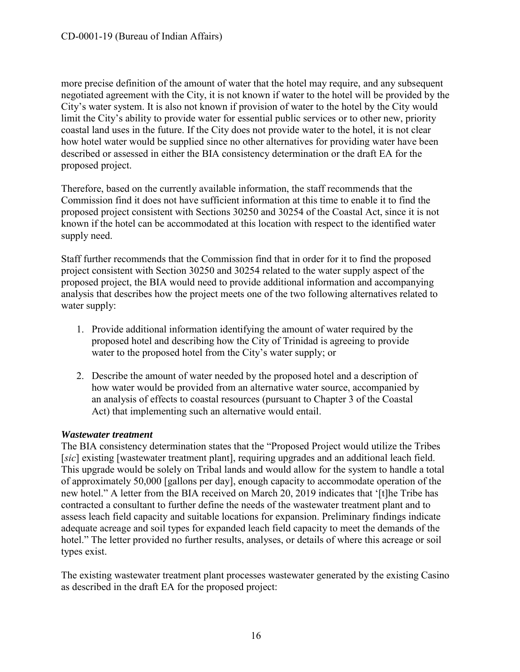more precise definition of the amount of water that the hotel may require, and any subsequent negotiated agreement with the City, it is not known if water to the hotel will be provided by the City's water system. It is also not known if provision of water to the hotel by the City would limit the City's ability to provide water for essential public services or to other new, priority coastal land uses in the future. If the City does not provide water to the hotel, it is not clear how hotel water would be supplied since no other alternatives for providing water have been described or assessed in either the BIA consistency determination or the draft EA for the proposed project.

Therefore, based on the currently available information, the staff recommends that the Commission find it does not have sufficient information at this time to enable it to find the proposed project consistent with Sections 30250 and 30254 of the Coastal Act, since it is not known if the hotel can be accommodated at this location with respect to the identified water supply need.

Staff further recommends that the Commission find that in order for it to find the proposed project consistent with Section 30250 and 30254 related to the water supply aspect of the proposed project, the BIA would need to provide additional information and accompanying analysis that describes how the project meets one of the two following alternatives related to water supply:

- 1. Provide additional information identifying the amount of water required by the proposed hotel and describing how the City of Trinidad is agreeing to provide water to the proposed hotel from the City's water supply; or
- 2. Describe the amount of water needed by the proposed hotel and a description of how water would be provided from an alternative water source, accompanied by an analysis of effects to coastal resources (pursuant to Chapter 3 of the Coastal Act) that implementing such an alternative would entail.

#### *Wastewater treatment*

The BIA consistency determination states that the "Proposed Project would utilize the Tribes [*sic*] existing [wastewater treatment plant], requiring upgrades and an additional leach field. This upgrade would be solely on Tribal lands and would allow for the system to handle a total of approximately 50,000 [gallons per day], enough capacity to accommodate operation of the new hotel." A letter from the BIA received on March 20, 2019 indicates that '[t]he Tribe has contracted a consultant to further define the needs of the wastewater treatment plant and to assess leach field capacity and suitable locations for expansion. Preliminary findings indicate adequate acreage and soil types for expanded leach field capacity to meet the demands of the hotel." The letter provided no further results, analyses, or details of where this acreage or soil types exist.

The existing wastewater treatment plant processes wastewater generated by the existing Casino as described in the draft EA for the proposed project: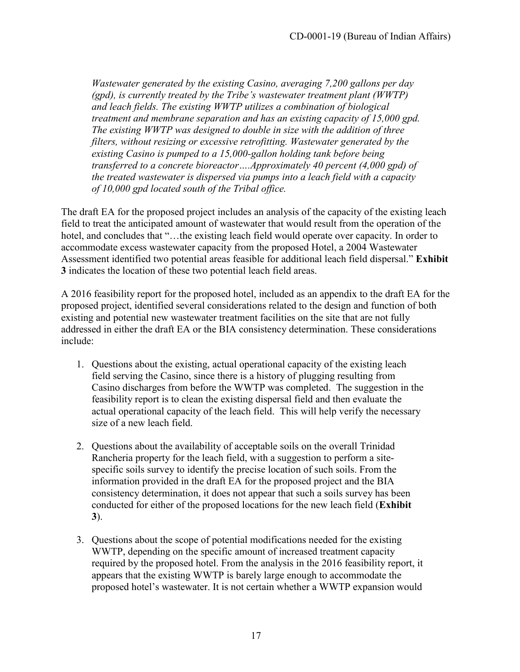*Wastewater generated by the existing Casino, averaging 7,200 gallons per day (gpd), is currently treated by the Tribe's wastewater treatment plant (WWTP) and leach fields. The existing WWTP utilizes a combination of biological treatment and membrane separation and has an existing capacity of 15,000 gpd. The existing WWTP was designed to double in size with the addition of three filters, without resizing or excessive retrofitting. Wastewater generated by the existing Casino is pumped to a 15,000-gallon holding tank before being transferred to a concrete bioreactor….Approximately 40 percent (4,000 gpd) of the treated wastewater is dispersed via pumps into a leach field with a capacity of 10,000 gpd located south of the Tribal office.* 

The draft EA for the proposed project includes an analysis of the capacity of the existing leach field to treat the anticipated amount of wastewater that would result from the operation of the hotel, and concludes that "...the existing leach field would operate over capacity. In order to accommodate excess wastewater capacity from the proposed Hotel, a 2004 Wastewater Assessment identified two potential areas feasible for additional leach field dispersal." **Exhibit 3** indicates the location of these two potential leach field areas.

A 2016 feasibility report for the proposed hotel, included as an appendix to the draft EA for the proposed project, identified several considerations related to the design and function of both existing and potential new wastewater treatment facilities on the site that are not fully addressed in either the draft EA or the BIA consistency determination. These considerations include:

- 1. Questions about the existing, actual operational capacity of the existing leach field serving the Casino, since there is a history of plugging resulting from Casino discharges from before the WWTP was completed. The suggestion in the feasibility report is to clean the existing dispersal field and then evaluate the actual operational capacity of the leach field. This will help verify the necessary size of a new leach field.
- 2. Questions about the availability of acceptable soils on the overall Trinidad Rancheria property for the leach field, with a suggestion to perform a sitespecific soils survey to identify the precise location of such soils. From the information provided in the draft EA for the proposed project and the BIA consistency determination, it does not appear that such a soils survey has been conducted for either of the proposed locations for the new leach field (**Exhibit 3**).
- 3. Questions about the scope of potential modifications needed for the existing WWTP, depending on the specific amount of increased treatment capacity required by the proposed hotel. From the analysis in the 2016 feasibility report, it appears that the existing WWTP is barely large enough to accommodate the proposed hotel's wastewater. It is not certain whether a WWTP expansion would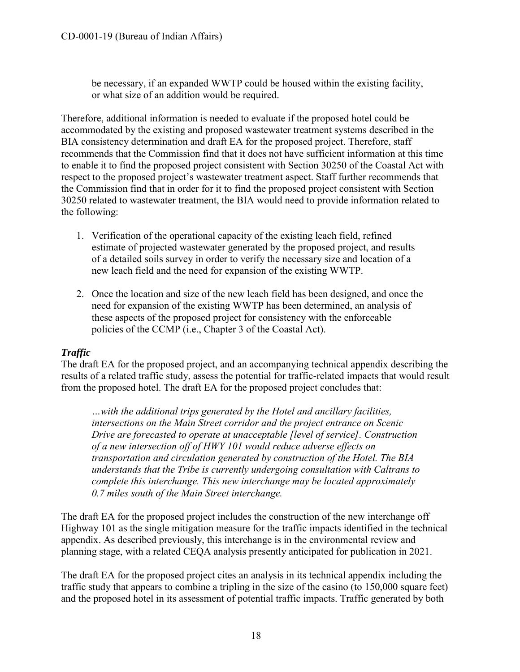be necessary, if an expanded WWTP could be housed within the existing facility, or what size of an addition would be required.

Therefore, additional information is needed to evaluate if the proposed hotel could be accommodated by the existing and proposed wastewater treatment systems described in the BIA consistency determination and draft EA for the proposed project. Therefore, staff recommends that the Commission find that it does not have sufficient information at this time to enable it to find the proposed project consistent with Section 30250 of the Coastal Act with respect to the proposed project's wastewater treatment aspect. Staff further recommends that the Commission find that in order for it to find the proposed project consistent with Section 30250 related to wastewater treatment, the BIA would need to provide information related to the following:

- 1. Verification of the operational capacity of the existing leach field, refined estimate of projected wastewater generated by the proposed project, and results of a detailed soils survey in order to verify the necessary size and location of a new leach field and the need for expansion of the existing WWTP.
- 2. Once the location and size of the new leach field has been designed, and once the need for expansion of the existing WWTP has been determined, an analysis of these aspects of the proposed project for consistency with the enforceable policies of the CCMP (i.e., Chapter 3 of the Coastal Act).

## *Traffic*

The draft EA for the proposed project, and an accompanying technical appendix describing the results of a related traffic study, assess the potential for traffic-related impacts that would result from the proposed hotel. The draft EA for the proposed project concludes that:

*…with the additional trips generated by the Hotel and ancillary facilities, intersections on the Main Street corridor and the project entrance on Scenic Drive are forecasted to operate at unacceptable [level of service]. Construction of a new intersection off of HWY 101 would reduce adverse effects on transportation and circulation generated by construction of the Hotel. The BIA understands that the Tribe is currently undergoing consultation with Caltrans to complete this interchange. This new interchange may be located approximately 0.7 miles south of the Main Street interchange.* 

The draft EA for the proposed project includes the construction of the new interchange off Highway 101 as the single mitigation measure for the traffic impacts identified in the technical appendix. As described previously, this interchange is in the environmental review and planning stage, with a related CEQA analysis presently anticipated for publication in 2021.

The draft EA for the proposed project cites an analysis in its technical appendix including the traffic study that appears to combine a tripling in the size of the casino (to 150,000 square feet) and the proposed hotel in its assessment of potential traffic impacts. Traffic generated by both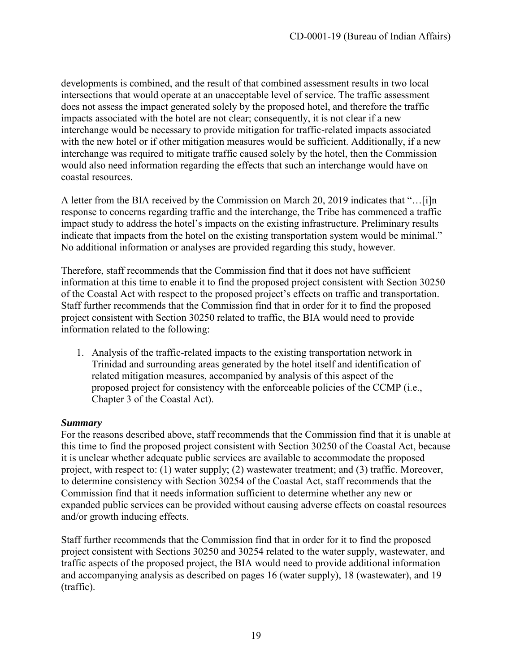developments is combined, and the result of that combined assessment results in two local intersections that would operate at an unacceptable level of service. The traffic assessment does not assess the impact generated solely by the proposed hotel, and therefore the traffic impacts associated with the hotel are not clear; consequently, it is not clear if a new interchange would be necessary to provide mitigation for traffic-related impacts associated with the new hotel or if other mitigation measures would be sufficient. Additionally, if a new interchange was required to mitigate traffic caused solely by the hotel, then the Commission would also need information regarding the effects that such an interchange would have on coastal resources.

A letter from the BIA received by the Commission on March 20, 2019 indicates that "…[i]n response to concerns regarding traffic and the interchange, the Tribe has commenced a traffic impact study to address the hotel's impacts on the existing infrastructure. Preliminary results indicate that impacts from the hotel on the existing transportation system would be minimal." No additional information or analyses are provided regarding this study, however.

Therefore, staff recommends that the Commission find that it does not have sufficient information at this time to enable it to find the proposed project consistent with Section 30250 of the Coastal Act with respect to the proposed project's effects on traffic and transportation. Staff further recommends that the Commission find that in order for it to find the proposed project consistent with Section 30250 related to traffic, the BIA would need to provide information related to the following:

1. Analysis of the traffic-related impacts to the existing transportation network in Trinidad and surrounding areas generated by the hotel itself and identification of related mitigation measures, accompanied by analysis of this aspect of the proposed project for consistency with the enforceable policies of the CCMP (i.e., Chapter 3 of the Coastal Act).

#### *Summary*

For the reasons described above, staff recommends that the Commission find that it is unable at this time to find the proposed project consistent with Section 30250 of the Coastal Act, because it is unclear whether adequate public services are available to accommodate the proposed project, with respect to: (1) water supply; (2) wastewater treatment; and (3) traffic. Moreover, to determine consistency with Section 30254 of the Coastal Act, staff recommends that the Commission find that it needs information sufficient to determine whether any new or expanded public services can be provided without causing adverse effects on coastal resources and/or growth inducing effects.

Staff further recommends that the Commission find that in order for it to find the proposed project consistent with Sections 30250 and 30254 related to the water supply, wastewater, and traffic aspects of the proposed project, the BIA would need to provide additional information and accompanying analysis as described on pages 16 (water supply), 18 (wastewater), and 19 (traffic).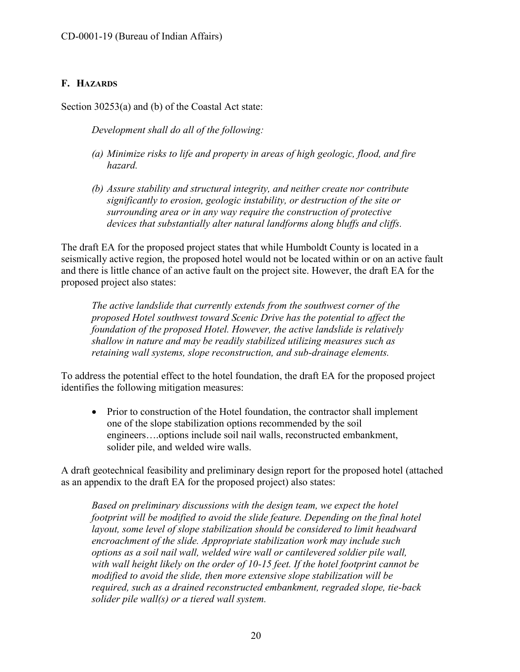## <span id="page-19-0"></span>**F. HAZARDS**

Section 30253(a) and (b) of the Coastal Act state:

*Development shall do all of the following:* 

- *(a) Minimize risks to life and property in areas of high geologic, flood, and fire hazard.*
- *(b) Assure stability and structural integrity, and neither create nor contribute significantly to erosion, geologic instability, or destruction of the site or surrounding area or in any way require the construction of protective devices that substantially alter natural landforms along bluffs and cliffs.*

The draft EA for the proposed project states that while Humboldt County is located in a seismically active region, the proposed hotel would not be located within or on an active fault and there is little chance of an active fault on the project site. However, the draft EA for the proposed project also states:

*The active landslide that currently extends from the southwest corner of the proposed Hotel southwest toward Scenic Drive has the potential to affect the foundation of the proposed Hotel. However, the active landslide is relatively shallow in nature and may be readily stabilized utilizing measures such as retaining wall systems, slope reconstruction, and sub-drainage elements.* 

To address the potential effect to the hotel foundation, the draft EA for the proposed project identifies the following mitigation measures:

• Prior to construction of the Hotel foundation, the contractor shall implement one of the slope stabilization options recommended by the soil engineers….options include soil nail walls, reconstructed embankment, solider pile, and welded wire walls.

A draft geotechnical feasibility and preliminary design report for the proposed hotel (attached as an appendix to the draft EA for the proposed project) also states:

*Based on preliminary discussions with the design team, we expect the hotel footprint will be modified to avoid the slide feature. Depending on the final hotel layout, some level of slope stabilization should be considered to limit headward encroachment of the slide. Appropriate stabilization work may include such options as a soil nail wall, welded wire wall or cantilevered soldier pile wall, with wall height likely on the order of 10-15 feet. If the hotel footprint cannot be modified to avoid the slide, then more extensive slope stabilization will be required, such as a drained reconstructed embankment, regraded slope, tie-back solider pile wall(s) or a tiered wall system.*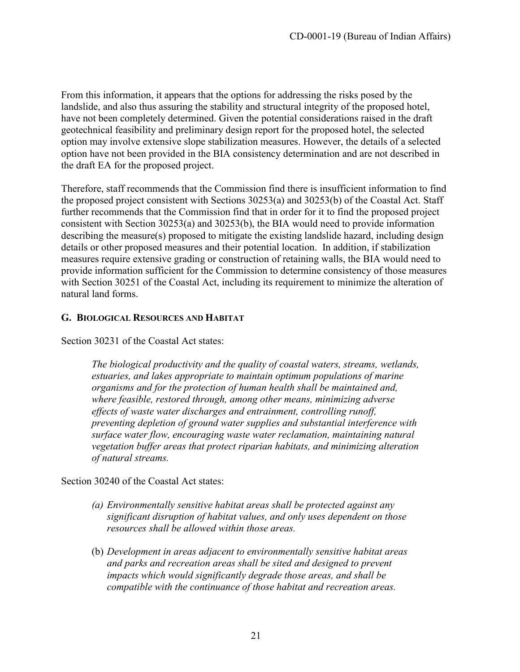From this information, it appears that the options for addressing the risks posed by the landslide, and also thus assuring the stability and structural integrity of the proposed hotel, have not been completely determined. Given the potential considerations raised in the draft geotechnical feasibility and preliminary design report for the proposed hotel, the selected option may involve extensive slope stabilization measures. However, the details of a selected option have not been provided in the BIA consistency determination and are not described in the draft EA for the proposed project.

Therefore, staff recommends that the Commission find there is insufficient information to find the proposed project consistent with Sections 30253(a) and 30253(b) of the Coastal Act. Staff further recommends that the Commission find that in order for it to find the proposed project consistent with Section 30253(a) and 30253(b), the BIA would need to provide information describing the measure(s) proposed to mitigate the existing landslide hazard, including design details or other proposed measures and their potential location. In addition, if stabilization measures require extensive grading or construction of retaining walls, the BIA would need to provide information sufficient for the Commission to determine consistency of those measures with Section 30251 of the Coastal Act, including its requirement to minimize the alteration of natural land forms.

#### <span id="page-20-0"></span>**G. BIOLOGICAL RESOURCES AND HABITAT**

Section 30231 of the Coastal Act states:

*The biological productivity and the quality of coastal waters, streams, wetlands, estuaries, and lakes appropriate to maintain optimum populations of marine organisms and for the protection of human health shall be maintained and, where feasible, restored through, among other means, minimizing adverse effects of waste water discharges and entrainment, controlling runoff, preventing depletion of ground water supplies and substantial interference with surface water flow, encouraging waste water reclamation, maintaining natural vegetation buffer areas that protect riparian habitats, and minimizing alteration of natural streams.* 

Section 30240 of the Coastal Act states:

- *(a) Environmentally sensitive habitat areas shall be protected against any significant disruption of habitat values, and only uses dependent on those resources shall be allowed within those areas.*
- (b) *Development in areas adjacent to environmentally sensitive habitat areas and parks and recreation areas shall be sited and designed to prevent impacts which would significantly degrade those areas, and shall be compatible with the continuance of those habitat and recreation areas.*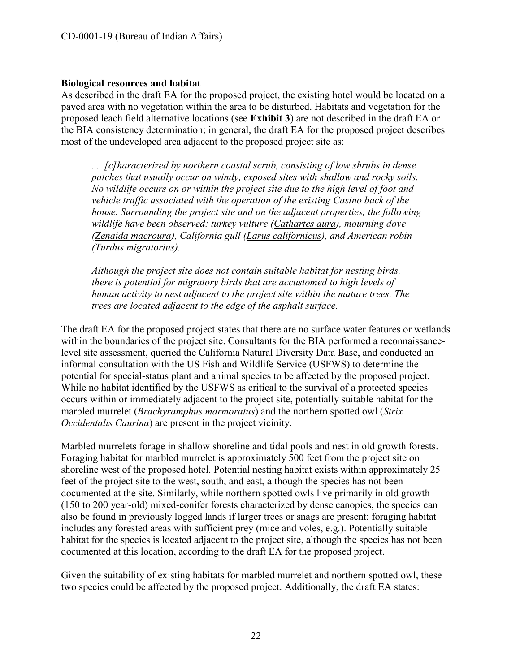#### **Biological resources and habitat**

As described in the draft EA for the proposed project, the existing hotel would be located on a paved area with no vegetation within the area to be disturbed. Habitats and vegetation for the proposed leach field alternative locations (see **Exhibit 3**) are not described in the draft EA or the BIA consistency determination; in general, the draft EA for the proposed project describes most of the undeveloped area adjacent to the proposed project site as:

*.... [c]haracterized by northern coastal scrub, consisting of low shrubs in dense patches that usually occur on windy, exposed sites with shallow and rocky soils. No wildlife occurs on or within the project site due to the high level of foot and vehicle traffic associated with the operation of the existing Casino back of the house. Surrounding the project site and on the adjacent properties, the following wildlife have been observed: turkey vulture (Cathartes aura), mourning dove (Zenaida macroura), California gull (Larus californicus), and American robin (Turdus migratorius).* 

*Although the project site does not contain suitable habitat for nesting birds, there is potential for migratory birds that are accustomed to high levels of human activity to nest adjacent to the project site within the mature trees. The trees are located adjacent to the edge of the asphalt surface.* 

The draft EA for the proposed project states that there are no surface water features or wetlands within the boundaries of the project site. Consultants for the BIA performed a reconnaissancelevel site assessment, queried the California Natural Diversity Data Base, and conducted an informal consultation with the US Fish and Wildlife Service (USFWS) to determine the potential for special-status plant and animal species to be affected by the proposed project. While no habitat identified by the USFWS as critical to the survival of a protected species occurs within or immediately adjacent to the project site, potentially suitable habitat for the marbled murrelet (*Brachyramphus marmoratus*) and the northern spotted owl (*Strix Occidentalis Caurina*) are present in the project vicinity.

Marbled murrelets forage in shallow shoreline and tidal pools and nest in old growth forests. Foraging habitat for marbled murrelet is approximately 500 feet from the project site on shoreline west of the proposed hotel. Potential nesting habitat exists within approximately 25 feet of the project site to the west, south, and east, although the species has not been documented at the site. Similarly, while northern spotted owls live primarily in old growth (150 to 200 year-old) mixed-conifer forests characterized by dense canopies, the species can also be found in previously logged lands if larger trees or snags are present; foraging habitat includes any forested areas with sufficient prey (mice and voles, e.g.). Potentially suitable habitat for the species is located adjacent to the project site, although the species has not been documented at this location, according to the draft EA for the proposed project.

Given the suitability of existing habitats for marbled murrelet and northern spotted owl, these two species could be affected by the proposed project. Additionally, the draft EA states: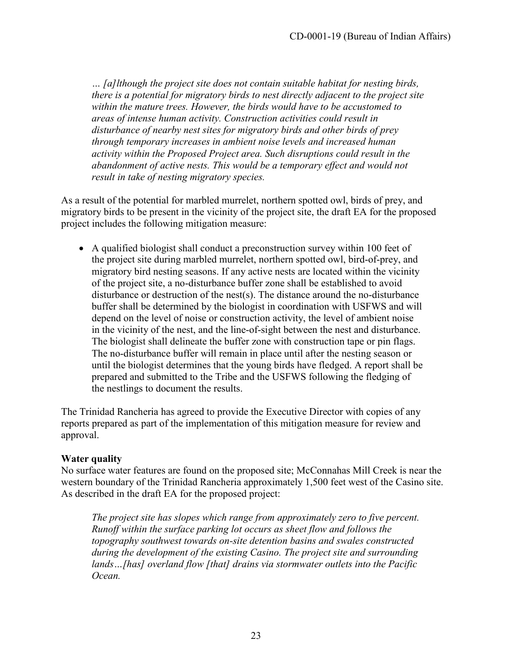*… [a]lthough the project site does not contain suitable habitat for nesting birds, there is a potential for migratory birds to nest directly adjacent to the project site within the mature trees. However, the birds would have to be accustomed to areas of intense human activity. Construction activities could result in disturbance of nearby nest sites for migratory birds and other birds of prey through temporary increases in ambient noise levels and increased human activity within the Proposed Project area. Such disruptions could result in the abandonment of active nests. This would be a temporary effect and would not result in take of nesting migratory species.* 

As a result of the potential for marbled murrelet, northern spotted owl, birds of prey, and migratory birds to be present in the vicinity of the project site, the draft EA for the proposed project includes the following mitigation measure:

 A qualified biologist shall conduct a preconstruction survey within 100 feet of the project site during marbled murrelet, northern spotted owl, bird-of-prey, and migratory bird nesting seasons. If any active nests are located within the vicinity of the project site, a no-disturbance buffer zone shall be established to avoid disturbance or destruction of the nest(s). The distance around the no-disturbance buffer shall be determined by the biologist in coordination with USFWS and will depend on the level of noise or construction activity, the level of ambient noise in the vicinity of the nest, and the line-of-sight between the nest and disturbance. The biologist shall delineate the buffer zone with construction tape or pin flags. The no-disturbance buffer will remain in place until after the nesting season or until the biologist determines that the young birds have fledged. A report shall be prepared and submitted to the Tribe and the USFWS following the fledging of the nestlings to document the results.

The Trinidad Rancheria has agreed to provide the Executive Director with copies of any reports prepared as part of the implementation of this mitigation measure for review and approval.

#### **Water quality**

No surface water features are found on the proposed site; McConnahas Mill Creek is near the western boundary of the Trinidad Rancheria approximately 1,500 feet west of the Casino site. As described in the draft EA for the proposed project:

*The project site has slopes which range from approximately zero to five percent. Runoff within the surface parking lot occurs as sheet flow and follows the topography southwest towards on-site detention basins and swales constructed during the development of the existing Casino. The project site and surrounding lands…[has] overland flow [that] drains via stormwater outlets into the Pacific Ocean.*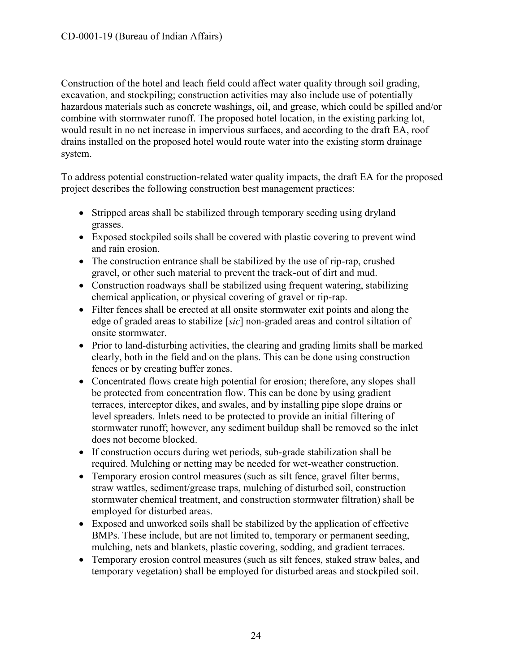Construction of the hotel and leach field could affect water quality through soil grading, excavation, and stockpiling; construction activities may also include use of potentially hazardous materials such as concrete washings, oil, and grease, which could be spilled and/or combine with stormwater runoff. The proposed hotel location, in the existing parking lot, would result in no net increase in impervious surfaces, and according to the draft EA, roof drains installed on the proposed hotel would route water into the existing storm drainage system.

To address potential construction-related water quality impacts, the draft EA for the proposed project describes the following construction best management practices:

- Stripped areas shall be stabilized through temporary seeding using dryland grasses.
- Exposed stockpiled soils shall be covered with plastic covering to prevent wind and rain erosion.
- The construction entrance shall be stabilized by the use of rip-rap, crushed gravel, or other such material to prevent the track-out of dirt and mud.
- Construction roadways shall be stabilized using frequent watering, stabilizing chemical application, or physical covering of gravel or rip-rap.
- Filter fences shall be erected at all onsite stormwater exit points and along the edge of graded areas to stabilize [*sic*] non-graded areas and control siltation of onsite stormwater.
- Prior to land-disturbing activities, the clearing and grading limits shall be marked clearly, both in the field and on the plans. This can be done using construction fences or by creating buffer zones.
- Concentrated flows create high potential for erosion; therefore, any slopes shall be protected from concentration flow. This can be done by using gradient terraces, interceptor dikes, and swales, and by installing pipe slope drains or level spreaders. Inlets need to be protected to provide an initial filtering of stormwater runoff; however, any sediment buildup shall be removed so the inlet does not become blocked.
- If construction occurs during wet periods, sub-grade stabilization shall be required. Mulching or netting may be needed for wet-weather construction.
- Temporary erosion control measures (such as silt fence, gravel filter berms, straw wattles, sediment/grease traps, mulching of disturbed soil, construction stormwater chemical treatment, and construction stormwater filtration) shall be employed for disturbed areas.
- Exposed and unworked soils shall be stabilized by the application of effective BMPs. These include, but are not limited to, temporary or permanent seeding, mulching, nets and blankets, plastic covering, sodding, and gradient terraces.
- Temporary erosion control measures (such as silt fences, staked straw bales, and temporary vegetation) shall be employed for disturbed areas and stockpiled soil.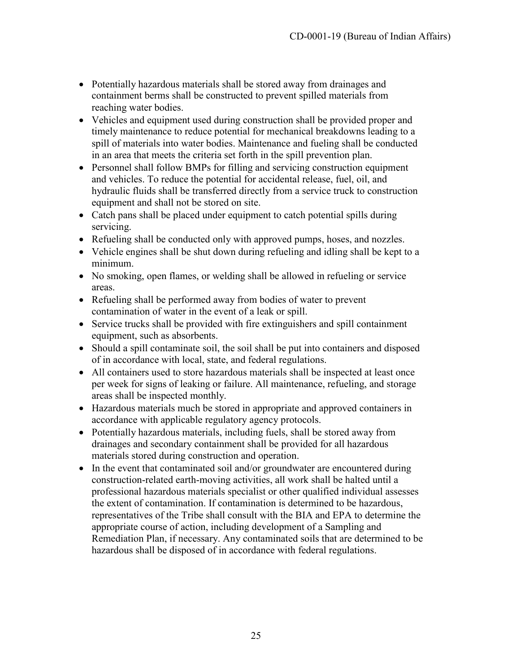- Potentially hazardous materials shall be stored away from drainages and containment berms shall be constructed to prevent spilled materials from reaching water bodies.
- Vehicles and equipment used during construction shall be provided proper and timely maintenance to reduce potential for mechanical breakdowns leading to a spill of materials into water bodies. Maintenance and fueling shall be conducted in an area that meets the criteria set forth in the spill prevention plan.
- Personnel shall follow BMPs for filling and servicing construction equipment and vehicles. To reduce the potential for accidental release, fuel, oil, and hydraulic fluids shall be transferred directly from a service truck to construction equipment and shall not be stored on site.
- Catch pans shall be placed under equipment to catch potential spills during servicing.
- Refueling shall be conducted only with approved pumps, hoses, and nozzles.
- Vehicle engines shall be shut down during refueling and idling shall be kept to a minimum.
- No smoking, open flames, or welding shall be allowed in refueling or service areas.
- Refueling shall be performed away from bodies of water to prevent contamination of water in the event of a leak or spill.
- Service trucks shall be provided with fire extinguishers and spill containment equipment, such as absorbents.
- Should a spill contaminate soil, the soil shall be put into containers and disposed of in accordance with local, state, and federal regulations.
- All containers used to store hazardous materials shall be inspected at least once per week for signs of leaking or failure. All maintenance, refueling, and storage areas shall be inspected monthly.
- Hazardous materials much be stored in appropriate and approved containers in accordance with applicable regulatory agency protocols.
- Potentially hazardous materials, including fuels, shall be stored away from drainages and secondary containment shall be provided for all hazardous materials stored during construction and operation.
- In the event that contaminated soil and/or groundwater are encountered during construction-related earth-moving activities, all work shall be halted until a professional hazardous materials specialist or other qualified individual assesses the extent of contamination. If contamination is determined to be hazardous, representatives of the Tribe shall consult with the BIA and EPA to determine the appropriate course of action, including development of a Sampling and Remediation Plan, if necessary. Any contaminated soils that are determined to be hazardous shall be disposed of in accordance with federal regulations.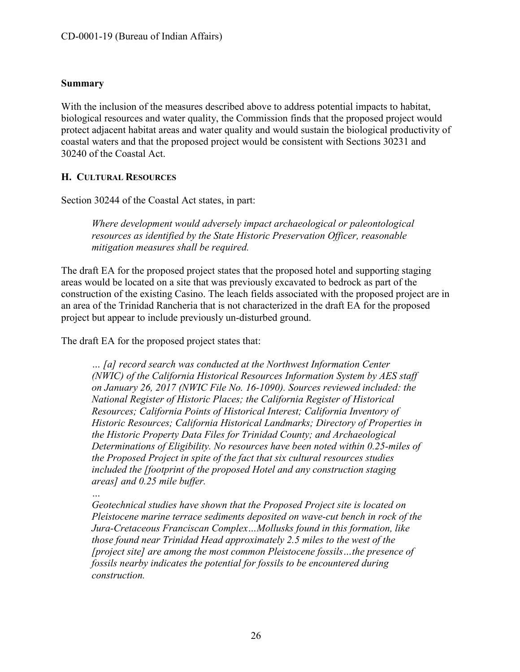#### **Summary**

With the inclusion of the measures described above to address potential impacts to habitat, biological resources and water quality, the Commission finds that the proposed project would protect adjacent habitat areas and water quality and would sustain the biological productivity of coastal waters and that the proposed project would be consistent with Sections 30231 and 30240 of the Coastal Act.

#### <span id="page-25-0"></span>**H. CULTURAL RESOURCES**

Section 30244 of the Coastal Act states, in part:

*Where development would adversely impact archaeological or paleontological resources as identified by the State Historic Preservation Officer, reasonable mitigation measures shall be required.* 

The draft EA for the proposed project states that the proposed hotel and supporting staging areas would be located on a site that was previously excavated to bedrock as part of the construction of the existing Casino. The leach fields associated with the proposed project are in an area of the Trinidad Rancheria that is not characterized in the draft EA for the proposed project but appear to include previously un-disturbed ground.

The draft EA for the proposed project states that:

*… [a] record search was conducted at the Northwest Information Center (NWIC) of the California Historical Resources Information System by AES staff on January 26, 2017 (NWIC File No. 16-1090). Sources reviewed included: the National Register of Historic Places; the California Register of Historical Resources; California Points of Historical Interest; California Inventory of Historic Resources; California Historical Landmarks; Directory of Properties in the Historic Property Data Files for Trinidad County; and Archaeological Determinations of Eligibility. No resources have been noted within 0.25-miles of the Proposed Project in spite of the fact that six cultural resources studies included the [footprint of the proposed Hotel and any construction staging areas] and 0.25 mile buffer.* 

*…* 

*Geotechnical studies have shown that the Proposed Project site is located on Pleistocene marine terrace sediments deposited on wave-cut bench in rock of the Jura-Cretaceous Franciscan Complex…Mollusks found in this formation, like those found near Trinidad Head approximately 2.5 miles to the west of the [project site] are among the most common Pleistocene fossils…the presence of fossils nearby indicates the potential for fossils to be encountered during construction.*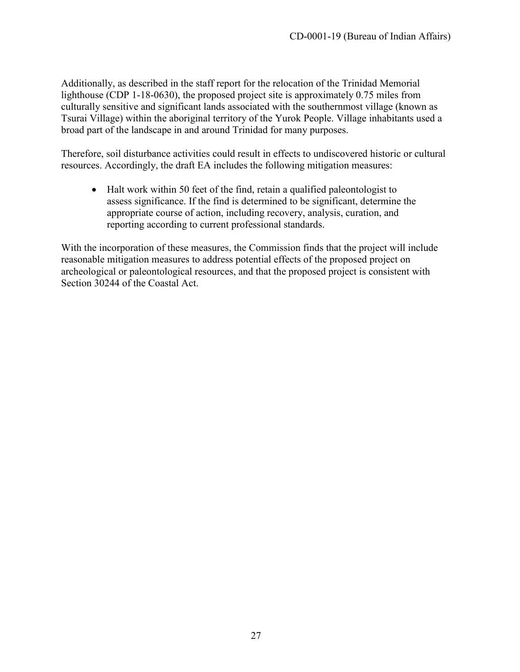Additionally, as described in the staff report for the relocation of the Trinidad Memorial lighthouse (CDP 1-18-0630), the proposed project site is approximately 0.75 miles from culturally sensitive and significant lands associated with the southernmost village (known as Tsurai Village) within the aboriginal territory of the Yurok People. Village inhabitants used a broad part of the landscape in and around Trinidad for many purposes.

Therefore, soil disturbance activities could result in effects to undiscovered historic or cultural resources. Accordingly, the draft EA includes the following mitigation measures:

• Halt work within 50 feet of the find, retain a qualified paleontologist to assess significance. If the find is determined to be significant, determine the appropriate course of action, including recovery, analysis, curation, and reporting according to current professional standards.

With the incorporation of these measures, the Commission finds that the project will include reasonable mitigation measures to address potential effects of the proposed project on archeological or paleontological resources, and that the proposed project is consistent with Section 30244 of the Coastal Act.